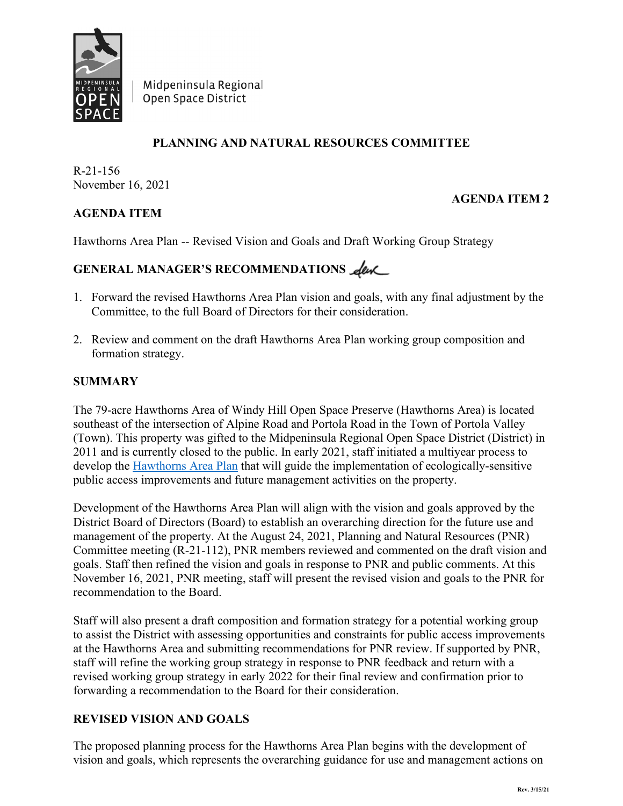

Midpeninsula Regional Open Space District

# **PLANNING AND NATURAL RESOURCES COMMITTEE**

R-21-156 November 16, 2021

**AGENDA ITEM**

# **AGENDA ITEM 2**

Hawthorns Area Plan -- Revised Vision and Goals and Draft Working Group Strategy

# GENERAL MANAGER'S RECOMMENDATIONS **Leve**

- 1. Forward the revised Hawthorns Area Plan vision and goals, with any final adjustment by the Committee, to the full Board of Directors for their consideration.
- 2. Review and comment on the draft Hawthorns Area Plan working group composition and formation strategy.

#### **SUMMARY**

The 79-acre Hawthorns Area of Windy Hill Open Space Preserve (Hawthorns Area) is located southeast of the intersection of Alpine Road and Portola Road in the Town of Portola Valley (Town). This property was gifted to the Midpeninsula Regional Open Space District (District) in 2011 and is currently closed to the public. In early 2021, staff initiated a multiyear process to develop the [Hawthorns Area Plan](https://www.openspace.org/what-we-do/projects/hawthorns-area-plan) that will guide the implementation of ecologically-sensitive public access improvements and future management activities on the property.

Development of the Hawthorns Area Plan will align with the vision and goals approved by the District Board of Directors (Board) to establish an overarching direction for the future use and management of the property. At the August 24, 2021, Planning and Natural Resources (PNR) Committee meeting (R-21-112), PNR members reviewed and commented on the draft vision and goals. Staff then refined the vision and goals in response to PNR and public comments. At this November 16, 2021, PNR meeting, staff will present the revised vision and goals to the PNR for recommendation to the Board.

Staff will also present a draft composition and formation strategy for a potential working group to assist the District with assessing opportunities and constraints for public access improvements at the Hawthorns Area and submitting recommendations for PNR review. If supported by PNR, staff will refine the working group strategy in response to PNR feedback and return with a revised working group strategy in early 2022 for their final review and confirmation prior to forwarding a recommendation to the Board for their consideration.

#### **REVISED VISION AND GOALS**

The proposed planning process for the Hawthorns Area Plan begins with the development of vision and goals, which represents the overarching guidance for use and management actions on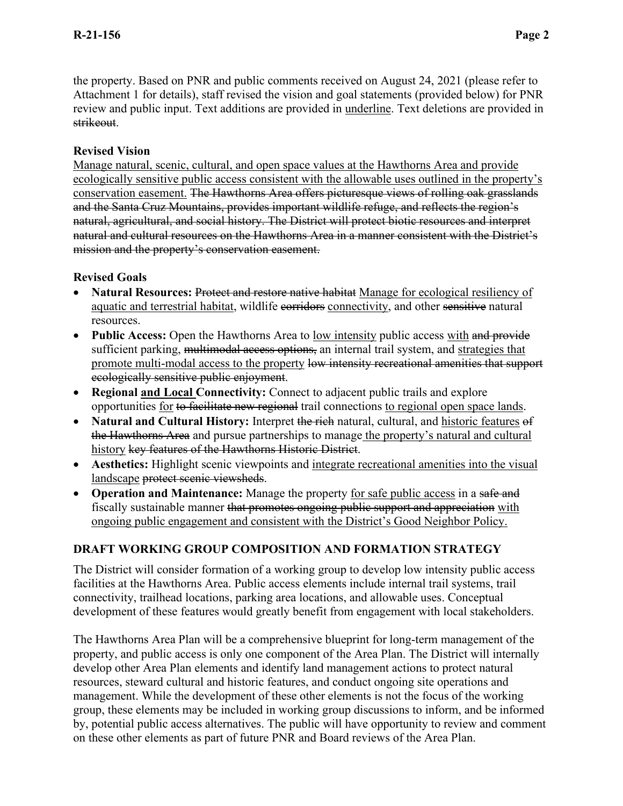the property. Based on PNR and public comments received on August 24, 2021 (please refer to Attachment 1 for details), staff revised the vision and goal statements (provided below) for PNR review and public input. Text additions are provided in underline. Text deletions are provided in strikeout.

# **Revised Vision**

Manage natural, scenic, cultural, and open space values at the Hawthorns Area and provide ecologically sensitive public access consistent with the allowable uses outlined in the property's conservation easement. The Hawthorns Area offers picturesque views of rolling oak grasslands and the Santa Cruz Mountains, provides important wildlife refuge, and reflects the region's natural, agricultural, and social history. The District will protect biotic resources and interpret natural and cultural resources on the Hawthorns Area in a manner consistent with the District's mission and the property's conservation easement.

# **Revised Goals**

- **Natural Resources:** Protect and restore native habitat Manage for ecological resiliency of aquatic and terrestrial habitat, wildlife corridors connectivity, and other sensitive natural resources.
- **Public Access:** Open the Hawthorns Area to low intensity public access with and provide sufficient parking, multimodal access options, an internal trail system, and strategies that promote multi-modal access to the property low intensity recreational amenities that support ecologically sensitive public enjoyment.
- **Regional and Local Connectivity:** Connect to adjacent public trails and explore opportunities for to facilitate new regional trail connections to regional open space lands.
- **Natural and Cultural History:** Interpret the rich natural, cultural, and historic features of the Hawthorns Area and pursue partnerships to manage the property's natural and cultural history key features of the Hawthorns Historic District.
- **Aesthetics:** Highlight scenic viewpoints and integrate recreational amenities into the visual landscape protect scenic viewsheds.
- **Operation and Maintenance:** Manage the property for safe public access in a safe and fiscally sustainable manner that promotes ongoing public support and appreciation with ongoing public engagement and consistent with the District's Good Neighbor Policy.

# **DRAFT WORKING GROUP COMPOSITION AND FORMATION STRATEGY**

The District will consider formation of a working group to develop low intensity public access facilities at the Hawthorns Area. Public access elements include internal trail systems, trail connectivity, trailhead locations, parking area locations, and allowable uses. Conceptual development of these features would greatly benefit from engagement with local stakeholders.

The Hawthorns Area Plan will be a comprehensive blueprint for long-term management of the property, and public access is only one component of the Area Plan. The District will internally develop other Area Plan elements and identify land management actions to protect natural resources, steward cultural and historic features, and conduct ongoing site operations and management. While the development of these other elements is not the focus of the working group, these elements may be included in working group discussions to inform, and be informed by, potential public access alternatives. The public will have opportunity to review and comment on these other elements as part of future PNR and Board reviews of the Area Plan.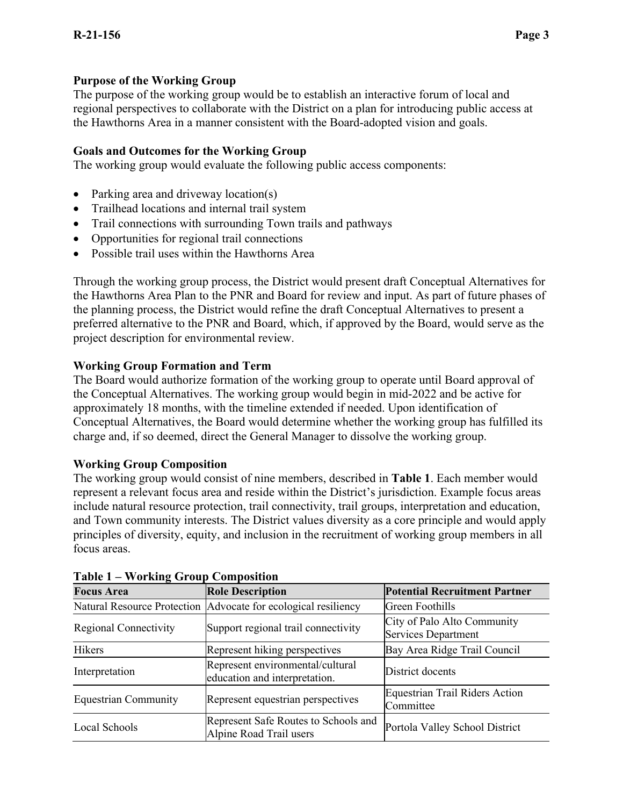# **Purpose of the Working Group**

The purpose of the working group would be to establish an interactive forum of local and regional perspectives to collaborate with the District on a plan for introducing public access at the Hawthorns Area in a manner consistent with the Board-adopted vision and goals.

#### **Goals and Outcomes for the Working Group**

The working group would evaluate the following public access components:

- Parking area and driveway location(s)
- Trailhead locations and internal trail system
- Trail connections with surrounding Town trails and pathways
- Opportunities for regional trail connections
- Possible trail uses within the Hawthorns Area

Through the working group process, the District would present draft Conceptual Alternatives for the Hawthorns Area Plan to the PNR and Board for review and input. As part of future phases of the planning process, the District would refine the draft Conceptual Alternatives to present a preferred alternative to the PNR and Board, which, if approved by the Board, would serve as the project description for environmental review.

### **Working Group Formation and Term**

The Board would authorize formation of the working group to operate until Board approval of the Conceptual Alternatives. The working group would begin in mid-2022 and be active for approximately 18 months, with the timeline extended if needed. Upon identification of Conceptual Alternatives, the Board would determine whether the working group has fulfilled its charge and, if so deemed, direct the General Manager to dissolve the working group.

#### **Working Group Composition**

The working group would consist of nine members, described in **Table 1**. Each member would represent a relevant focus area and reside within the District's jurisdiction. Example focus areas include natural resource protection, trail connectivity, trail groups, interpretation and education, and Town community interests. The District values diversity as a core principle and would apply principles of diversity, equity, and inclusion in the recruitment of working group members in all focus areas.

| 1 AVIV 1<br>working stroup composition |                                                                   |                                                    |  |  |
|----------------------------------------|-------------------------------------------------------------------|----------------------------------------------------|--|--|
| <b>Focus Area</b>                      | <b>Role Description</b>                                           | <b>Potential Recruitment Partner</b>               |  |  |
|                                        | Natural Resource Protection Advocate for ecological resiliency    | Green Foothills                                    |  |  |
| <b>Regional Connectivity</b>           | Support regional trail connectivity                               | City of Palo Alto Community<br>Services Department |  |  |
| Hikers                                 | Represent hiking perspectives                                     | Bay Area Ridge Trail Council                       |  |  |
| Interpretation                         | Represent environmental/cultural<br>education and interpretation. | District docents                                   |  |  |
| <b>Equestrian Community</b>            | Represent equestrian perspectives                                 | Equestrian Trail Riders Action<br>Committee        |  |  |
| Local Schools                          | Represent Safe Routes to Schools and<br>Alpine Road Trail users   | Portola Valley School District                     |  |  |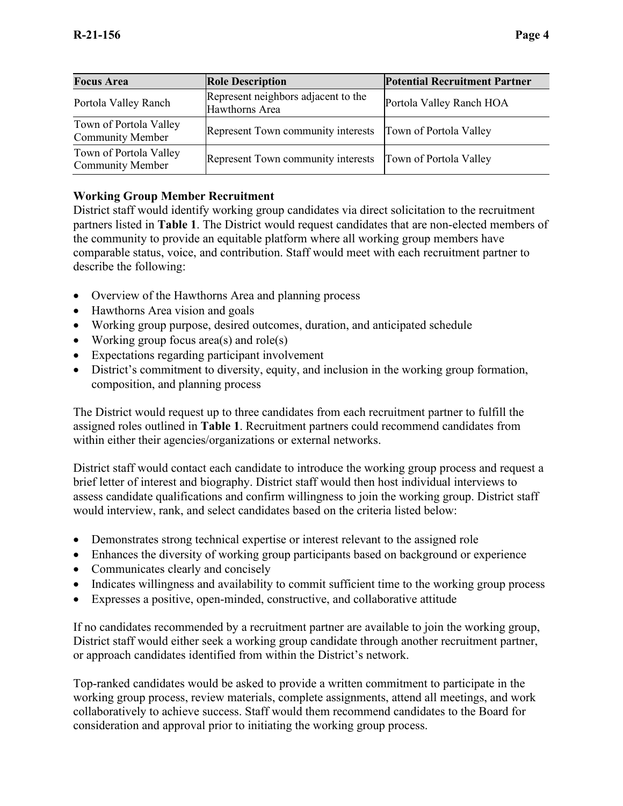| <b>Focus Area</b>                                 | <b>Role Description</b>                               | <b>Potential Recruitment Partner</b> |
|---------------------------------------------------|-------------------------------------------------------|--------------------------------------|
| Portola Valley Ranch                              | Represent neighbors adjacent to the<br>Hawthorns Area | Portola Valley Ranch HOA             |
| Town of Portola Valley<br><b>Community Member</b> | Represent Town community interests                    | Town of Portola Valley               |
| Town of Portola Valley<br><b>Community Member</b> | Represent Town community interests                    | Town of Portola Valley               |

# **Working Group Member Recruitment**

District staff would identify working group candidates via direct solicitation to the recruitment partners listed in **Table 1**. The District would request candidates that are non-elected members of the community to provide an equitable platform where all working group members have comparable status, voice, and contribution. Staff would meet with each recruitment partner to describe the following:

- Overview of the Hawthorns Area and planning process
- Hawthorns Area vision and goals
- Working group purpose, desired outcomes, duration, and anticipated schedule
- Working group focus area(s) and role(s)
- Expectations regarding participant involvement
- District's commitment to diversity, equity, and inclusion in the working group formation, composition, and planning process

The District would request up to three candidates from each recruitment partner to fulfill the assigned roles outlined in **Table 1**. Recruitment partners could recommend candidates from within either their agencies/organizations or external networks.

District staff would contact each candidate to introduce the working group process and request a brief letter of interest and biography. District staff would then host individual interviews to assess candidate qualifications and confirm willingness to join the working group. District staff would interview, rank, and select candidates based on the criteria listed below:

- Demonstrates strong technical expertise or interest relevant to the assigned role
- Enhances the diversity of working group participants based on background or experience
- Communicates clearly and concisely
- Indicates willingness and availability to commit sufficient time to the working group process
- Expresses a positive, open-minded, constructive, and collaborative attitude

If no candidates recommended by a recruitment partner are available to join the working group, District staff would either seek a working group candidate through another recruitment partner, or approach candidates identified from within the District's network.

Top-ranked candidates would be asked to provide a written commitment to participate in the working group process, review materials, complete assignments, attend all meetings, and work collaboratively to achieve success. Staff would them recommend candidates to the Board for consideration and approval prior to initiating the working group process.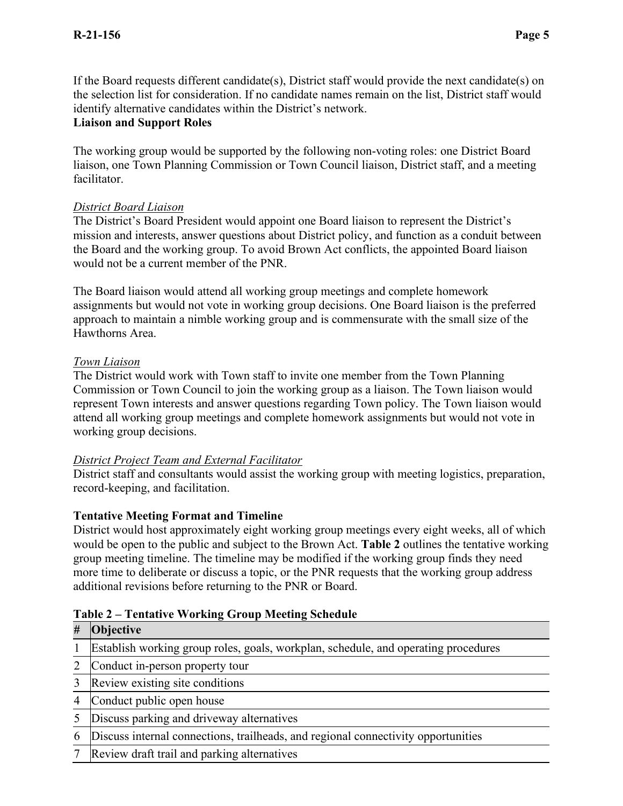If the Board requests different candidate(s), District staff would provide the next candidate(s) on the selection list for consideration. If no candidate names remain on the list, District staff would identify alternative candidates within the District's network.

### **Liaison and Support Roles**

The working group would be supported by the following non-voting roles: one District Board liaison, one Town Planning Commission or Town Council liaison, District staff, and a meeting facilitator.

# *District Board Liaison*

The District's Board President would appoint one Board liaison to represent the District's mission and interests, answer questions about District policy, and function as a conduit between the Board and the working group. To avoid Brown Act conflicts, the appointed Board liaison would not be a current member of the PNR.

The Board liaison would attend all working group meetings and complete homework assignments but would not vote in working group decisions. One Board liaison is the preferred approach to maintain a nimble working group and is commensurate with the small size of the Hawthorns Area.

# *Town Liaison*

The District would work with Town staff to invite one member from the Town Planning Commission or Town Council to join the working group as a liaison. The Town liaison would represent Town interests and answer questions regarding Town policy. The Town liaison would attend all working group meetings and complete homework assignments but would not vote in working group decisions.

#### *District Project Team and External Facilitator*

District staff and consultants would assist the working group with meeting logistics, preparation, record-keeping, and facilitation.

# **Tentative Meeting Format and Timeline**

District would host approximately eight working group meetings every eight weeks, all of which would be open to the public and subject to the Brown Act. **Table 2** outlines the tentative working group meeting timeline. The timeline may be modified if the working group finds they need more time to deliberate or discuss a topic, or the PNR requests that the working group address additional revisions before returning to the PNR or Board.

# **Table 2 – Tentative Working Group Meeting Schedule**

# **# Objective**

- 1 Establish working group roles, goals, workplan, schedule, and operating procedures
- 2 Conduct in-person property tour
- 3 Review existing site conditions
- 4 Conduct public open house
- 5 Discuss parking and driveway alternatives
- 6 Discuss internal connections, trailheads, and regional connectivity opportunities
- 7 Review draft trail and parking alternatives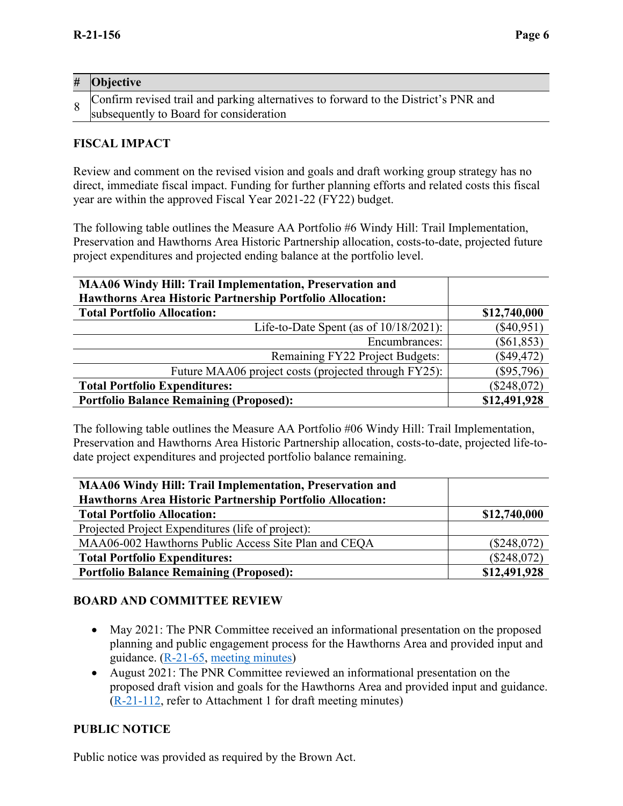| $\#$ Objective                                                                                                                        |
|---------------------------------------------------------------------------------------------------------------------------------------|
| $\sim$ Confirm revised trail and parking alternatives to forward to the District's PNR and<br>subsequently to Board for consideration |

# **FISCAL IMPACT**

Review and comment on the revised vision and goals and draft working group strategy has no direct, immediate fiscal impact. Funding for further planning efforts and related costs this fiscal year are within the approved Fiscal Year 2021-22 (FY22) budget.

The following table outlines the Measure AA Portfolio #6 Windy Hill: Trail Implementation, Preservation and Hawthorns Area Historic Partnership allocation, costs-to-date, projected future project expenditures and projected ending balance at the portfolio level.

| <b>MAA06 Windy Hill: Trail Implementation, Preservation and</b><br>Hawthorns Area Historic Partnership Portfolio Allocation: |               |
|------------------------------------------------------------------------------------------------------------------------------|---------------|
| <b>Total Portfolio Allocation:</b>                                                                                           | \$12,740,000  |
| Life-to-Date Spent (as of $10/18/2021$ ):                                                                                    | $(\$40,951)$  |
| Encumbrances:                                                                                                                | $(\$61,853)$  |
| Remaining FY22 Project Budgets:                                                                                              | $(\$49,472)$  |
| Future MAA06 project costs (projected through FY25):                                                                         | $(\$95,796)$  |
| <b>Total Portfolio Expenditures:</b>                                                                                         | $(\$248,072)$ |
| <b>Portfolio Balance Remaining (Proposed):</b>                                                                               | \$12,491,928  |

The following table outlines the Measure AA Portfolio #06 Windy Hill: Trail Implementation, Preservation and Hawthorns Area Historic Partnership allocation, costs-to-date, projected life-todate project expenditures and projected portfolio balance remaining.

| MAA06 Windy Hill: Trail Implementation, Preservation and         |               |
|------------------------------------------------------------------|---------------|
| <b>Hawthorns Area Historic Partnership Portfolio Allocation:</b> |               |
| <b>Total Portfolio Allocation:</b>                               | \$12,740,000  |
| Projected Project Expenditures (life of project):                |               |
| MAA06-002 Hawthorns Public Access Site Plan and CEQA             | $(\$248,072)$ |
| <b>Total Portfolio Expenditures:</b>                             | (\$248,072)   |
| <b>Portfolio Balance Remaining (Proposed):</b>                   | \$12,491,928  |

#### **BOARD AND COMMITTEE REVIEW**

- May 2021: The PNR Committee received an informational presentation on the proposed planning and public engagement process for the Hawthorns Area and provided input and guidance. [\(R-21-65,](https://www.openspace.org/sites/default/files/20210518_HawthornsPublicAccessPlan_R-21-65.pdf) [meeting minutes\)](https://www.openspace.org/sites/default/files/20210824_PNR_AGENDA_0.pdf)
- August 2021: The PNR Committee reviewed an informational presentation on the proposed draft vision and goals for the Hawthorns Area and provided input and guidance. [\(R-21-112,](https://www.openspace.org/sites/default/files/20210824_HawthornsPublicAccessPlan_R-21-112.pdf) refer to Attachment 1 for draft meeting minutes)

# **PUBLIC NOTICE**

Public notice was provided as required by the Brown Act.